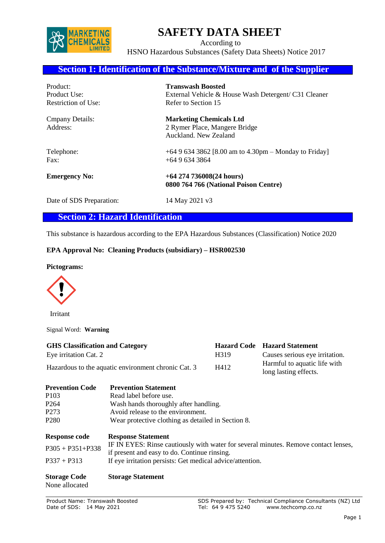

# **SAFETY DATA SHEET**

 According to HSNO Hazardous Substances (Safety Data Sheets) Notice 2017

## **Section 1: Identification of the Substance/Mixture and of the Supplier**

| Product:                            | <b>Transwash Boosted</b>                                                                 |
|-------------------------------------|------------------------------------------------------------------------------------------|
| Product Use:                        | External Vehicle & House Wash Detergent/ C31 Cleaner                                     |
| Restriction of Use:                 | Refer to Section 15                                                                      |
| <b>C</b> mpany Details:<br>Address: | <b>Marketing Chemicals Ltd</b><br>2 Rymer Place, Mangere Bridge<br>Auckland. New Zealand |
| Telephone:                          | +64 9 634 3862 [8.00 am to 4.30pm – Monday to Friday]                                    |
| $\text{Fax}:$                       | $+6496343864$                                                                            |
| <b>Emergency No:</b>                | $+64$ 274 736008(24 hours)<br>0800 764 766 (National Poison Centre)                      |

Date of SDS Preparation: 14 May 2021 v3

## **Section 2: Hazard Identification**

This substance is hazardous according to the EPA Hazardous Substances (Classification) Notice 2020

## **EPA Approval No: Cleaning Products (subsidiary) – HSR002530**

#### **Pictograms:**



Irritant

Signal Word: **Warning**

| <b>GHS</b> Classification and Category              |      | <b>Hazard Code</b> Hazard Statement                   |
|-----------------------------------------------------|------|-------------------------------------------------------|
| Eye irritation Cat. 2                               | H319 | Causes serious eye irritation.                        |
| Hazardous to the aquatic environment chronic Cat. 3 | H412 | Harmful to aquatic life with<br>long lasting effects. |

| <b>Prevention Code</b> | <b>Prevention Statement</b>                                                                                                         |
|------------------------|-------------------------------------------------------------------------------------------------------------------------------------|
| P <sub>103</sub>       | Read label before use.                                                                                                              |
| P <sub>264</sub>       | Wash hands thoroughly after handling.                                                                                               |
| P <sub>273</sub>       | Avoid release to the environment.                                                                                                   |
| P <sub>280</sub>       | Wear protective clothing as detailed in Section 8.                                                                                  |
| <b>Response code</b>   | <b>Response Statement</b>                                                                                                           |
| $P305 + P351 + P338$   | IF IN EYES: Rinse cautiously with water for several minutes. Remove contact lenses,<br>if present and easy to do. Continue rinsing. |
| $P337 + P313$          | If eye irritation persists: Get medical advice/attention.                                                                           |
| <b>Storage Code</b>    | <b>Storage Statement</b>                                                                                                            |

None allocated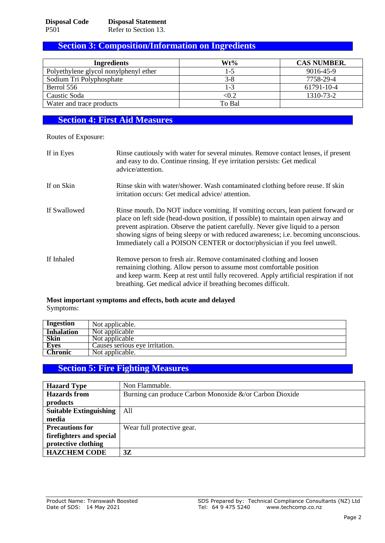## **Section 3: Composition/Information on Ingredients**

| <b>Ingredients</b>                    | Wt%     | <b>CAS NUMBER.</b> |
|---------------------------------------|---------|--------------------|
| Polyethylene glycol nonylphenyl ether | 1-5     | 9016-45-9          |
| Sodium Tri Polyphosphate              | $3 - 8$ | 7758-29-4          |
| Berrol 556                            | 1-3     | 61791-10-4         |
| Caustic Soda                          | < 0.2   | 1310-73-2          |
| Water and trace products              | To Bal  |                    |

# **Section 4: First Aid Measures**

Routes of Exposure:

| If in Eyes   | Rinse cautiously with water for several minutes. Remove contact lenses, if present<br>and easy to do. Continue rinsing. If eye irritation persists: Get medical<br>advice/attention.                                                                                                                                                                                                                                        |
|--------------|-----------------------------------------------------------------------------------------------------------------------------------------------------------------------------------------------------------------------------------------------------------------------------------------------------------------------------------------------------------------------------------------------------------------------------|
| If on Skin   | Rinse skin with water/shower. Wash contaminated clothing before reuse. If skin<br>irritation occurs: Get medical advice/attention.                                                                                                                                                                                                                                                                                          |
| If Swallowed | Rinse mouth. Do NOT induce vomiting. If vomiting occurs, lean patient forward or<br>place on left side (head-down position, if possible) to maintain open airway and<br>prevent aspiration. Observe the patient carefully. Never give liquid to a person<br>showing signs of being sleepy or with reduced awareness; i.e. becoming unconscious.<br>Immediately call a POISON CENTER or doctor/physician if you feel unwell. |
| If Inhaled   | Remove person to fresh air. Remove contaminated clothing and loosen<br>remaining clothing. Allow person to assume most comfortable position<br>and keep warm. Keep at rest until fully recovered. Apply artificial respiration if not<br>breathing. Get medical advice if breathing becomes difficult.                                                                                                                      |

#### **Most important symptoms and effects, both acute and delayed** Symptoms:

| Ingestion         | Not applicable.                |
|-------------------|--------------------------------|
| <b>Inhalation</b> | Not applicable                 |
| Skin              | Not applicable                 |
| <b>Eyes</b>       | Causes serious eye irritation. |
| <b>Chronic</b>    | Not applicable.                |

## **Section 5: Fire Fighting Measures**

| <b>Hazard Type</b>            | Non Flammable.                                          |
|-------------------------------|---------------------------------------------------------|
| <b>Hazards</b> from           | Burning can produce Carbon Monoxide &/or Carbon Dioxide |
| products                      |                                                         |
| <b>Suitable Extinguishing</b> | A11                                                     |
| media                         |                                                         |
| <b>Precautions for</b>        | Wear full protective gear.                              |
| firefighters and special      |                                                         |
| protective clothing           |                                                         |
| <b>HAZCHEM CODE</b>           | 3Z                                                      |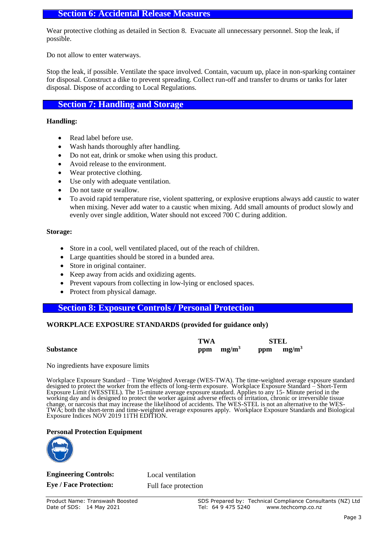## **Section 6: Accidental Release Measures**

Wear protective clothing as detailed in Section 8. Evacuate all unnecessary personnel. Stop the leak, if possible.

Do not allow to enter waterways.

Stop the leak, if possible. Ventilate the space involved. Contain, vacuum up, place in non-sparking container for disposal. Construct a dike to prevent spreading. Collect run-off and transfer to drums or tanks for later disposal. Dispose of according to Local Regulations.

## **Section 7: Handling and Storage**

#### **Handling:**

- Read label before use.
- Wash hands thoroughly after handling.
- Do not eat, drink or smoke when using this product.
- Avoid release to the environment.
- Wear protective clothing.
- Use only with adequate ventilation.
- Do not taste or swallow.
- To avoid rapid temperature rise, violent spattering, or explosive eruptions always add caustic to water when mixing. Never add water to a caustic when mixing. Add small amounts of product slowly and evenly over single addition, Water should not exceed 700 C during addition.

#### **Storage:**

- Store in a cool, well ventilated placed, out of the reach of children.
- Large quantities should be stored in a bunded area.
- Store in original container.
- Keep away from acids and oxidizing agents.
- Prevent vapours from collecting in low-lying or enclosed spaces.
- Protect from physical damage.

## **Section 8: Exposure Controls / Personal Protection**

#### **WORKPLACE EXPOSURE STANDARDS (provided for guidance only)**

|                  | <b>TWA</b> |              | <b>STEL</b>  |
|------------------|------------|--------------|--------------|
| <b>Substance</b> |            | ppm $mg/m^3$ | ppm $mg/m^3$ |

No ingredients have exposure limits

Workplace Exposure Standard – Time Weighted Average (WES-TWA). The time-weighted average exposure standard designed to protect the worker from the effects of long-term exposure. Workplace Exposure Standard – Short-Term Exposure Limit (WESSTEL). The 15-minute average exposure standard. Applies to any 15- Minute period in the working day and is designed to protect the worker against adverse effects of irritation, chronic or irreversible tissue change, or narcosis that may increase the likelihood of accidents. The WES-STEL is not an alternative to the WES-TWA; both the short-term and time-weighted average exposures apply. Workplace Exposure Standards and Biological Exposure Indices NOV 2019 11TH EDITION.

#### **Personal Protection Equipment**



**Engineering Controls:** Local ventilation

**Eye / Face Protection:** Full face protection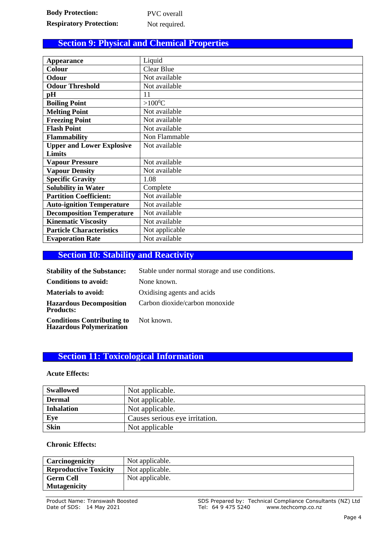# **Section 9: Physical and Chemical Properties**

| <b>Appearance</b>                | Liquid            |
|----------------------------------|-------------------|
| <b>Colour</b>                    | <b>Clear Blue</b> |
| Odour                            | Not available     |
| <b>Odour Threshold</b>           | Not available     |
| pН                               | 11                |
| <b>Boiling Point</b>             | $>100^0C$         |
| <b>Melting Point</b>             | Not available     |
| <b>Freezing Point</b>            | Not available     |
| <b>Flash Point</b>               | Not available     |
| <b>Flammability</b>              | Non Flammable     |
| <b>Upper and Lower Explosive</b> | Not available     |
| <b>Limits</b>                    |                   |
| <b>Vapour Pressure</b>           | Not available     |
| <b>Vapour Density</b>            | Not available     |
| <b>Specific Gravity</b>          | 1.08              |
| <b>Solubility in Water</b>       | Complete          |
| <b>Partition Coefficient:</b>    | Not available     |
| <b>Auto-ignition Temperature</b> | Not available     |
| <b>Decomposition Temperature</b> | Not available     |
| <b>Kinematic Viscosity</b>       | Not available     |
| <b>Particle Characteristics</b>  | Not applicable    |
| <b>Evaporation Rate</b>          | Not available     |

# **Section 10: Stability and Reactivity**

| <b>Stability of the Substance:</b>                                   | Stable under normal storage and use conditions. |
|----------------------------------------------------------------------|-------------------------------------------------|
| <b>Conditions to avoid:</b>                                          | None known.                                     |
| <b>Materials to avoid:</b>                                           | Oxidising agents and acids                      |
| <b>Hazardous Decomposition</b><br><b>Products:</b>                   | Carbon dioxide/carbon monoxide                  |
| <b>Conditions Contributing to</b><br><b>Hazardous Polymerization</b> | Not known.                                      |

# **Section 11: Toxicological Information**

## **Acute Effects:**

| <b>Swallowed</b>  | Not applicable.                |
|-------------------|--------------------------------|
| <b>Dermal</b>     | Not applicable.                |
| <b>Inhalation</b> | Not applicable.                |
| Eye               | Causes serious eye irritation. |
| Skin              | Not applicable                 |

## **Chronic Effects:**

| Carcinogenicity              | Not applicable. |
|------------------------------|-----------------|
| <b>Reproductive Toxicity</b> | Not applicable. |
| <b>Germ Cell</b>             | Not applicable. |
| <b>Mutagenicity</b>          |                 |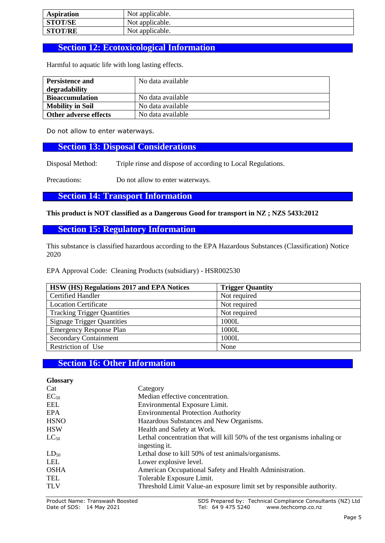| <b>Aspiration</b> | Not applicable. |
|-------------------|-----------------|
| <b>STOT/SE</b>    | Not applicable. |
| <b>STOT/RE</b>    | Not applicable. |

# **Section 12: Ecotoxicological Information**

Harmful to aquatic life with long lasting effects.

| <b>Persistence and</b>  | No data available |
|-------------------------|-------------------|
| degradability           |                   |
| <b>Bioaccumulation</b>  | No data available |
| <b>Mobility in Soil</b> | No data available |
| Other adverse effects   | No data available |

Do not allow to enter waterways.

## **Section 13: Disposal Considerations**

Disposal Method: Triple rinse and dispose of according to Local Regulations.

Precautions: Do not allow to enter waterways.

**Section 14: Transport Information**

**This product is NOT classified as a Dangerous Good for transport in NZ ; NZS 5433:2012**

**Section 15: Regulatory Information**

This substance is classified hazardous according to the EPA Hazardous Substances (Classification) Notice 2020

EPA Approval Code: Cleaning Products (subsidiary) - HSR002530

| HSW (HS) Regulations 2017 and EPA Notices | <b>Trigger Quantity</b> |
|-------------------------------------------|-------------------------|
| <b>Certified Handler</b>                  | Not required            |
| <b>Location Certificate</b>               | Not required            |
| <b>Tracking Trigger Quantities</b>        | Not required            |
| <b>Signage Trigger Quantities</b>         | 1000L                   |
| <b>Emergency Response Plan</b>            | 1000L                   |
| <b>Secondary Containment</b>              | 1000L                   |
| Restriction of Use                        | None                    |

# **Section 16: Other Information**

| <b>Glossary</b> |                                                                           |
|-----------------|---------------------------------------------------------------------------|
| Cat             | Category                                                                  |
| $EC_{50}$       | Median effective concentration.                                           |
| EEL             | Environmental Exposure Limit.                                             |
| EPA             | <b>Environmental Protection Authority</b>                                 |
| <b>HSNO</b>     | Hazardous Substances and New Organisms.                                   |
| <b>HSW</b>      | Health and Safety at Work.                                                |
| $LC_{50}$       | Lethal concentration that will kill 50% of the test organisms inhaling or |
|                 | ingesting it.                                                             |
| $LD_{50}$       | Lethal dose to kill 50% of test animals/organisms.                        |
| LEL             | Lower explosive level.                                                    |
| <b>OSHA</b>     | American Occupational Safety and Health Administration.                   |
| TEL             | Tolerable Exposure Limit.                                                 |
| <b>TLV</b>      | Threshold Limit Value-an exposure limit set by responsible authority.     |